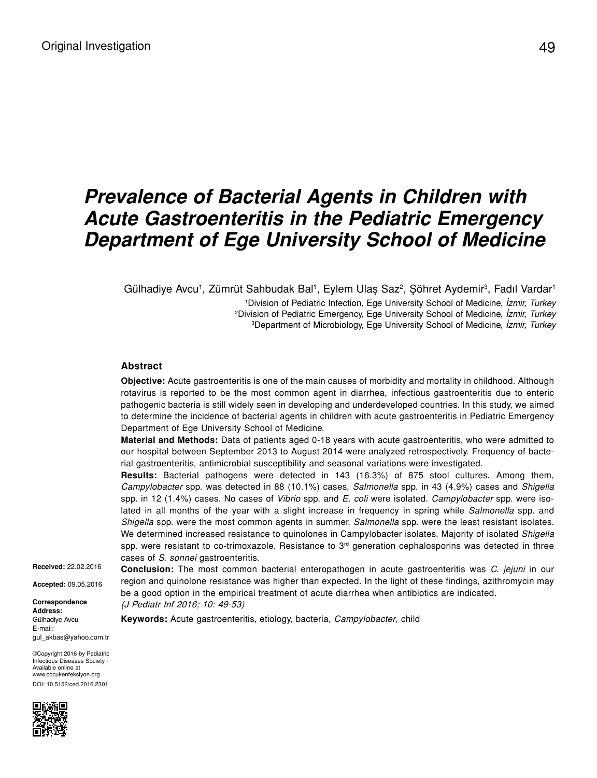# *Prevalence of Bacterial Agents in Children with Acute Gastroenteritis in the Pediatric Emergency Department of Ege University School of Medicine*

Gülhadiye Avcu<sup>1</sup>, Zümrüt Sahbudak Bal<sup>1</sup>, Eylem Ulaş Saz<sup>2</sup>, Şöhret Aydemir<sup>3</sup>, Fadıl Vardar<sup>1</sup>

1 Division of Pediatric Infection, Ege University School of Medicine, *İzmir, Turkey* 2 Division of Pediatric Emergency, Ege University School of Medicine, *İzmir, Turkey* 3 Department of Microbiology, Ege University School of Medicine, *İzmir, Turkey*

#### **Abstract**

**Objective:** Acute gastroenteritis is one of the main causes of morbidity and mortality in childhood. Although rotavirus is reported to be the most common agent in diarrhea, infectious gastroenteritis due to enteric pathogenic bacteria is still widely seen in developing and underdeveloped countries. In this study, we aimed to determine the incidence of bacterial agents in children with acute gastroenteritis in Pediatric Emergency Department of Ege University School of Medicine.

**Material and Methods:** Data of patients aged 0-18 years with acute gastroenteritis, who were admitted to our hospital between September 2013 to August 2014 were analyzed retrospectively. Frequency of bacterial gastroenteritis, antimicrobial susceptibility and seasonal variations were investigated.

**Results:** Bacterial pathogens were detected in 143 (16.3%) of 875 stool cultures. Among them, *Campylobacter* spp. was detected in 88 (10.1%) cases, *Salmonella* spp. in 43 (4.9%) cases and *Shigella* spp. in 12 (1.4%) cases. No cases of *Vibrio* spp. and *E. coli* were isolated. *Campylobacter* spp. were isolated in all months of the year with a slight increase in frequency in spring while *Salmonella* spp. and *Shigella* spp. were the most common agents in summer. *Salmonella* spp. were the least resistant isolates. We determined increased resistance to quinolones in Campylobacter isolates. Majority of isolated *Shigella* spp. were resistant to co-trimoxazole. Resistance to 3<sup>rd</sup> generation cephalosporins was detected in three cases of *S. sonnei* gastroenteritis.

**Received:** 22.02.2016

**Accepted:** 09.05.2016

**Correspondence Address:** Gülhadiye Avcu E-mail: gul\_akbas@yahoo.com.tr

©Copyright 2016 by Pediatric Infectious Diseases Society - Available online at www.cocukenfeksiyon.org DOI: 10.5152/ced.2016.2301



**Conclusion:** The most common bacterial enteropathogen in acute gastroenteritis was *C. jejuni* in our region and quinolone resistance was higher than expected. In the light of these findings, azithromycin may be a good option in the empirical treatment of acute diarrhea when antibiotics are indicated. (J Pediatr Inf 2016; 10: 49-53)

**Keywords:** Acute gastroenteritis, etiology, bacteria, *Campylobacter*, child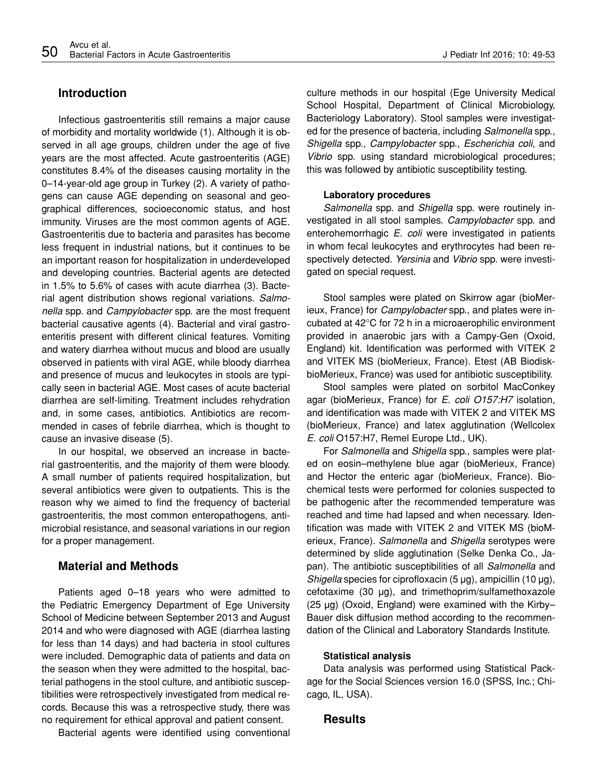## **Introduction**

Infectious gastroenteritis still remains a major cause of morbidity and mortality worldwide (1). Although it is observed in all age groups, children under the age of five years are the most affected. Acute gastroenteritis (AGE) constitutes 8.4% of the diseases causing mortality in the 0–14-year-old age group in Turkey (2). A variety of pathogens can cause AGE depending on seasonal and geographical differences, socioeconomic status, and host immunity. Viruses are the most common agents of AGE. Gastroenteritis due to bacteria and parasites has become less frequent in industrial nations, but it continues to be an important reason for hospitalization in underdeveloped and developing countries. Bacterial agents are detected in 1.5% to 5.6% of cases with acute diarrhea (3). Bacterial agent distribution shows regional variations. *Salmonella* spp. and *Campylobacter* spp. are the most frequent bacterial causative agents (4). Bacterial and viral gastroenteritis present with different clinical features. Vomiting and watery diarrhea without mucus and blood are usually observed in patients with viral AGE, while bloody diarrhea and presence of mucus and leukocytes in stools are typically seen in bacterial AGE. Most cases of acute bacterial diarrhea are self-limiting. Treatment includes rehydration and, in some cases, antibiotics. Antibiotics are recommended in cases of febrile diarrhea, which is thought to cause an invasive disease (5).

In our hospital, we observed an increase in bacterial gastroenteritis, and the majority of them were bloody. A small number of patients required hospitalization, but several antibiotics were given to outpatients. This is the reason why we aimed to find the frequency of bacterial gastroenteritis, the most common enteropathogens, antimicrobial resistance, and seasonal variations in our region for a proper management.

## **Material and Methods**

Patients aged 0–18 years who were admitted to the Pediatric Emergency Department of Ege University School of Medicine between September 2013 and August 2014 and who were diagnosed with AGE (diarrhea lasting for less than 14 days) and had bacteria in stool cultures were included. Demographic data of patients and data on the season when they were admitted to the hospital, bacterial pathogens in the stool culture, and antibiotic susceptibilities were retrospectively investigated from medical records. Because this was a retrospective study, there was no requirement for ethical approval and patient consent.

Bacterial agents were identified using conventional

culture methods in our hospital (Ege University Medical School Hospital, Department of Clinical Microbiology, Bacteriology Laboratory). Stool samples were investigated for the presence of bacteria, including *Salmonella* spp., *Shigella* spp., *Campylobacter* spp., *Escherichia coli*, and *Vibrio* spp. using standard microbiological procedures; this was followed by antibiotic susceptibility testing.

#### **Laboratory procedures**

*Salmonella* spp. and *Shigella* spp. were routinely investigated in all stool samples. *Campylobacter* spp. and enterohemorrhagic *E. coli* were investigated in patients in whom fecal leukocytes and erythrocytes had been respectively detected. *Yersinia* and *Vibrio* spp. were investigated on special request.

Stool samples were plated on Skirrow agar (bioMerieux, France) for *Campylobacter* spp., and plates were incubated at 42°C for 72 h in a microaerophilic environment provided in anaerobic jars with a Campy-Gen (Oxoid, England) kit. Identification was performed with VITEK 2 and VITEK MS (bioMerieux, France). Etest (AB BiodiskbioMerieux, France) was used for antibiotic susceptibility.

Stool samples were plated on sorbitol MacConkey agar (bioMerieux, France) for *E. coli O157:H7* isolation, and identification was made with VITEK 2 and VITEK MS (bioMerieux, France) and latex agglutination (Wellcolex *E. coli* O157:H7, Remel Europe Ltd., UK).

For *Salmonella* and *Shigella* spp., samples were plated on eosin–methylene blue agar (bioMerieux, France) and Hector the enteric agar (bioMerieux, France). Biochemical tests were performed for colonies suspected to be pathogenic after the recommended temperature was reached and time had lapsed and when necessary. Identification was made with VITEK 2 and VITEK MS (bioMerieux, France). *Salmonella* and *Shigella* serotypes were determined by slide agglutination (Selke Denka Co., Japan). The antibiotic susceptibilities of all *Salmonella* and *Shigella* species for ciprofloxacin (5 μg), ampicillin (10 μg), cefotaxime (30 μg), and trimethoprim/sulfamethoxazole (25 μg) (Oxoid, England) were examined with the Kirby– Bauer disk diffusion method according to the recommendation of the Clinical and Laboratory Standards Institute.

#### **Statistical analysis**

Data analysis was performed using Statistical Package for the Social Sciences version 16.0 (SPSS, Inc.; Chicago, IL, USA).

## **Results**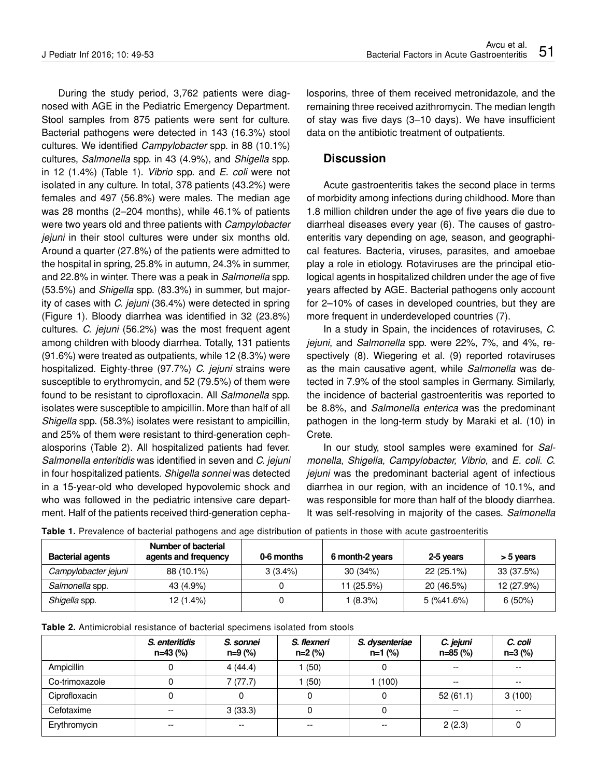During the study period, 3,762 patients were diagnosed with AGE in the Pediatric Emergency Department. Stool samples from 875 patients were sent for culture. Bacterial pathogens were detected in 143 (16.3%) stool cultures. We identified *Campylobacter* spp. in 88 (10.1%) cultures, *Salmonella* spp. in 43 (4.9%), and *Shigella* spp. in 12 (1.4%) (Table 1). *Vibrio* spp. and *E. coli* were not isolated in any culture. In total, 378 patients (43.2%) were females and 497 (56.8%) were males. The median age was 28 months (2–204 months), while 46.1% of patients were two years old and three patients with *Campylobacter jejuni* in their stool cultures were under six months old. Around a quarter (27.8%) of the patients were admitted to the hospital in spring, 25.8% in autumn, 24.3% in summer, and 22.8% in winter. There was a peak in *Salmonella* spp. (53.5%) and *Shigella* spp. (83.3%) in summer, but majority of cases with *C. jejuni* (36.4%) were detected in spring (Figure 1). Bloody diarrhea was identified in 32 (23.8%) cultures. *C. jejuni* (56.2%) was the most frequent agent among children with bloody diarrhea. Totally, 131 patients (91.6%) were treated as outpatients, while 12 (8.3%) were hospitalized. Eighty-three (97.7%) *C. jejuni* strains were susceptible to erythromycin, and 52 (79.5%) of them were found to be resistant to ciprofloxacin. All *Salmonella* spp. isolates were susceptible to ampicillin. More than half of all *Shigella* spp. (58.3%) isolates were resistant to ampicillin, and 25% of them were resistant to third-generation cephalosporins (Table 2). All hospitalized patients had fever. *Salmonella enteritidis* was identified in seven and *C. jejuni* in four hospitalized patients. *Shigella sonnei* was detected in a 15-year-old who developed hypovolemic shock and who was followed in the pediatric intensive care department. Half of the patients received third-generation cephalosporins, three of them received metronidazole, and the remaining three received azithromycin. The median length of stay was five days (3–10 days). We have insufficient data on the antibiotic treatment of outpatients.

### **Discussion**

Acute gastroenteritis takes the second place in terms of morbidity among infections during childhood. More than 1.8 million children under the age of five years die due to diarrheal diseases every year (6). The causes of gastroenteritis vary depending on age, season, and geographical features. Bacteria, viruses, parasites, and amoebae play a role in etiology. Rotaviruses are the principal etiological agents in hospitalized children under the age of five years affected by AGE. Bacterial pathogens only account for 2–10% of cases in developed countries, but they are more frequent in underdeveloped countries (7).

In a study in Spain, the incidences of rotaviruses, *C. jejuni*, and *Salmonella* spp. were 22%, 7%, and 4%, respectively (8). Wiegering et al. (9) reported rotaviruses as the main causative agent, while *Salmonella* was detected in 7.9% of the stool samples in Germany. Similarly, the incidence of bacterial gastroenteritis was reported to be 8.8%, and *Salmonella enterica* was the predominant pathogen in the long-term study by Maraki et al. (10) in Crete.

In our study, stool samples were examined for *Salmonella*, *Shigella*, *Campylobacter, Vibrio*, and *E. coli*. *C. jejuni* was the predominant bacterial agent of infectious diarrhea in our region, with an incidence of 10.1%, and was responsible for more than half of the bloody diarrhea. It was self-resolving in majority of the cases. *Salmonella* 

| <b>Bacterial agents</b> | Number of bacterial<br>agents and frequency | 0-6 months | 6 month-2 years | 2-5 years    | > 5 years  |
|-------------------------|---------------------------------------------|------------|-----------------|--------------|------------|
| Campylobacter jejuni    | 88 (10.1%)                                  | $3(3.4\%)$ | 30(34%)         | $22(25.1\%)$ | 33 (37.5%) |
| Salmonella spp.         | 43 (4.9%)                                   |            | 11 (25.5%)      | 20 (46.5%)   | 12 (27.9%) |
| Shigella spp.           | 12 (1.4%)                                   |            | $(8.3\%)$       | 5 (%41.6%)   | $6(50\%)$  |

|  |  |  |  |  |  |  |  | Table 1. Prevalence of bacterial pathogens and age distribution of patients in those with acute gastroenteritis |
|--|--|--|--|--|--|--|--|-----------------------------------------------------------------------------------------------------------------|
|--|--|--|--|--|--|--|--|-----------------------------------------------------------------------------------------------------------------|

|                | S. enteritidis<br>$n=43$ (%) | S. sonnei<br>n=9 (%) | S. flexneri<br>n=2 (%) | S. dysenteriae<br>n=1 (%) | C. jejuni<br>n=85 (%) | C. coli<br>$n=3$ (%) |
|----------------|------------------------------|----------------------|------------------------|---------------------------|-----------------------|----------------------|
| Ampicillin     |                              | 4(44.4)              | (50)                   |                           | $- -$                 | --                   |
| Co-trimoxazole |                              | 7(77.7)              | (50)                   | 1(100)                    | $- -$                 | --                   |
| Ciprofloxacin  |                              |                      |                        | 0                         | 52(61.1)              | 3(100)               |
| Cefotaxime     | $-$                          | 3(33.3)              |                        | 0                         | $- -$                 | --                   |
| Erythromycin   | $- -$                        | --                   | --                     | $- -$                     | 2(2.3)                |                      |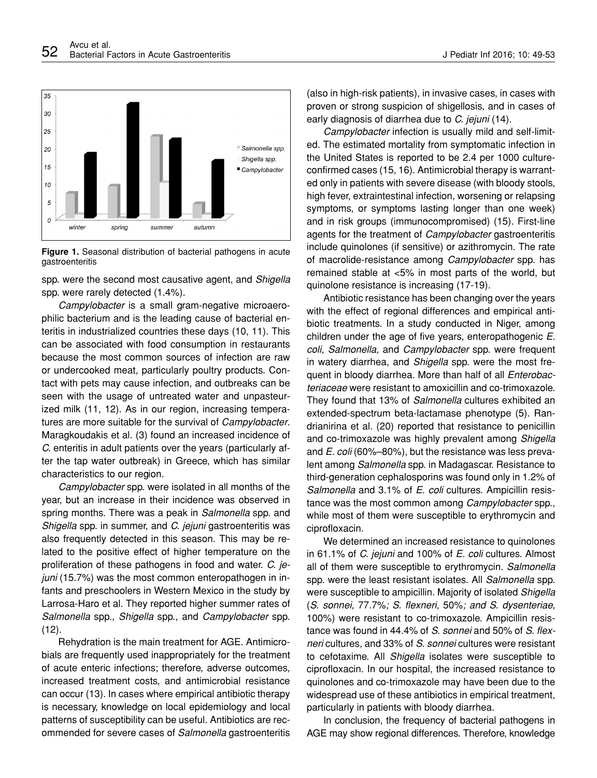

**Figure 1.** Seasonal distribution of bacterial pathogens in acute gastroenteritis

spp. were the second most causative agent, and *Shigella*  spp. were rarely detected (1.4%).

*Campylobacter* is a small gram-negative microaerophilic bacterium and is the leading cause of bacterial enteritis in industrialized countries these days (10, 11). This can be associated with food consumption in restaurants because the most common sources of infection are raw or undercooked meat, particularly poultry products. Contact with pets may cause infection, and outbreaks can be seen with the usage of untreated water and unpasteurized milk (11, 12). As in our region, increasing temperatures are more suitable for the survival of *Campylobacter*. Maragkoudakis et al. (3) found an increased incidence of *C.* enteritis in adult patients over the years (particularly after the tap water outbreak) in Greece, which has similar characteristics to our region.

*Campylobacter* spp. were isolated in all months of the year, but an increase in their incidence was observed in spring months. There was a peak in *Salmonella* spp. and *Shigella* spp. in summer, and *C. jejuni* gastroenteritis was also frequently detected in this season. This may be related to the positive effect of higher temperature on the proliferation of these pathogens in food and water. *C. jejuni* (15.7%) was the most common enteropathogen in infants and preschoolers in Western Mexico in the study by Larrosa-Haro et al. They reported higher summer rates of *Salmonella* spp., *Shigella* spp., and *Campylobacter* spp.  $(12).$ 

Rehydration is the main treatment for AGE. Antimicrobials are frequently used inappropriately for the treatment of acute enteric infections; therefore, adverse outcomes, increased treatment costs, and antimicrobial resistance can occur (13). In cases where empirical antibiotic therapy is necessary, knowledge on local epidemiology and local patterns of susceptibility can be useful. Antibiotics are recommended for severe cases of *Salmonella* gastroenteritis

(also in high-risk patients), in invasive cases, in cases with proven or strong suspicion of shigellosis, and in cases of early diagnosis of diarrhea due to *C. jejuni* (14).

*Campylobacter* infection is usually mild and self-limited. The estimated mortality from symptomatic infection in the United States is reported to be 2.4 per 1000 cultureconfirmed cases (15, 16). Antimicrobial therapy is warranted only in patients with severe disease (with bloody stools, high fever, extraintestinal infection, worsening or relapsing symptoms, or symptoms lasting longer than one week) and in risk groups (immunocompromised) (15). First-line agents for the treatment of *Campylobacter* gastroenteritis include quinolones (if sensitive) or azithromycin. The rate of macrolide-resistance among *Campylobacter* spp. has remained stable at <5% in most parts of the world, but quinolone resistance is increasing (17-19).

Antibiotic resistance has been changing over the years with the effect of regional differences and empirical antibiotic treatments. In a study conducted in Niger, among children under the age of five years, enteropathogenic *E. coli*, *Salmonella,* and *Campylobacter* spp. were frequent in watery diarrhea, and *Shigella* spp. were the most frequent in bloody diarrhea. More than half of all *Enterobacteriaceae* were resistant to amoxicillin and co-trimoxazole. They found that 13% of *Salmonella* cultures exhibited an extended-spectrum beta-lactamase phenotype (5). Randrianirina et al. (20) reported that resistance to penicillin and co-trimoxazole was highly prevalent among *Shigella* and *E. coli* (60%–80%), but the resistance was less prevalent among *Salmonella* spp. in Madagascar. Resistance to third-generation cephalosporins was found only in 1.2% of *Salmonella* and 3.1% of *E. coli* cultures. Ampicillin resistance was the most common among *Campylobacter* spp., while most of them were susceptible to erythromycin and ciprofloxacin.

We determined an increased resistance to quinolones in 61.1% of *C. jejuni* and 100% of *E. coli* cultures. Almost all of them were susceptible to erythromycin. *Salmonella*  spp. were the least resistant isolates. All *Salmonella* spp. were susceptible to ampicillin. Majority of isolated *Shigella* (*S. sonnei,* 77.7%*; S. flexneri,* 50%*; and S. dysenteriae,* 100%) were resistant to co-trimoxazole. Ampicillin resistance was found in 44.4% of *S. sonnei* and 50% of *S. flexneri* cultures*,* and 33% of *S. sonnei* cultures were resistant to cefotaxime. All *Shigella* isolates were susceptible to ciprofloxacin. In our hospital, the increased resistance to quinolones and co-trimoxazole may have been due to the widespread use of these antibiotics in empirical treatment, particularly in patients with bloody diarrhea.

In conclusion, the frequency of bacterial pathogens in AGE may show regional differences. Therefore, knowledge